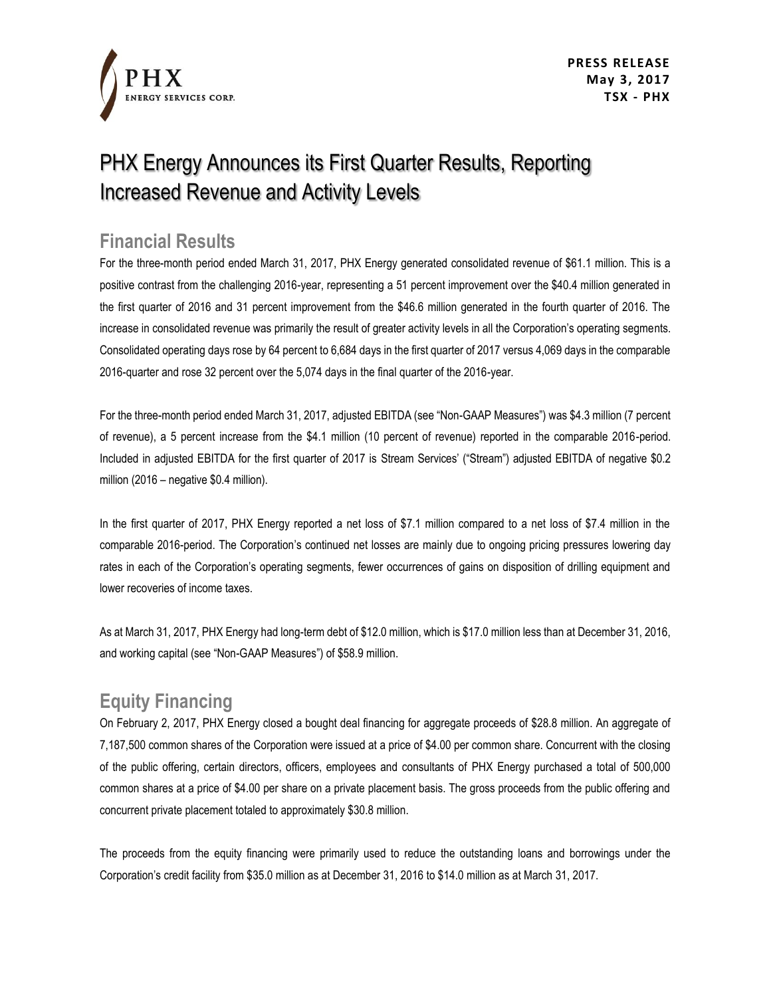

# PHX Energy Announces its First Quarter Results, Reporting Increased Revenue and Activity Levels

#### **Financial Results**

For the three-month period ended March 31, 2017, PHX Energy generated consolidated revenue of \$61.1 million. This is a positive contrast from the challenging 2016-year, representing a 51 percent improvement over the \$40.4 million generated in the first quarter of 2016 and 31 percent improvement from the \$46.6 million generated in the fourth quarter of 2016. The increase in consolidated revenue was primarily the result of greater activity levels in all the Corporation's operating segments. Consolidated operating days rose by 64 percent to 6,684 days in the first quarter of 2017 versus 4,069 days in the comparable 2016-quarter and rose 32 percent over the 5,074 days in the final quarter of the 2016-year.

For the three-month period ended March 31, 2017, adjusted EBITDA (see "Non-GAAP Measures") was \$4.3 million (7 percent of revenue), a 5 percent increase from the \$4.1 million (10 percent of revenue) reported in the comparable 2016-period. Included in adjusted EBITDA for the first quarter of 2017 is Stream Services' ("Stream") adjusted EBITDA of negative \$0.2 million (2016 – negative \$0.4 million).

In the first quarter of 2017, PHX Energy reported a net loss of \$7.1 million compared to a net loss of \$7.4 million in the comparable 2016-period. The Corporation's continued net losses are mainly due to ongoing pricing pressures lowering day rates in each of the Corporation's operating segments, fewer occurrences of gains on disposition of drilling equipment and lower recoveries of income taxes.

As at March 31, 2017, PHX Energy had long-term debt of \$12.0 million, which is \$17.0 million less than at December 31, 2016, and working capital (see "Non-GAAP Measures") of \$58.9 million.

### **Equity Financing**

On February 2, 2017, PHX Energy closed a bought deal financing for aggregate proceeds of \$28.8 million. An aggregate of 7,187,500 common shares of the Corporation were issued at a price of \$4.00 per common share. Concurrent with the closing of the public offering, certain directors, officers, employees and consultants of PHX Energy purchased a total of 500,000 common shares at a price of \$4.00 per share on a private placement basis. The gross proceeds from the public offering and concurrent private placement totaled to approximately \$30.8 million.

The proceeds from the equity financing were primarily used to reduce the outstanding loans and borrowings under the Corporation's credit facility from \$35.0 million as at December 31, 2016 to \$14.0 million as at March 31, 2017.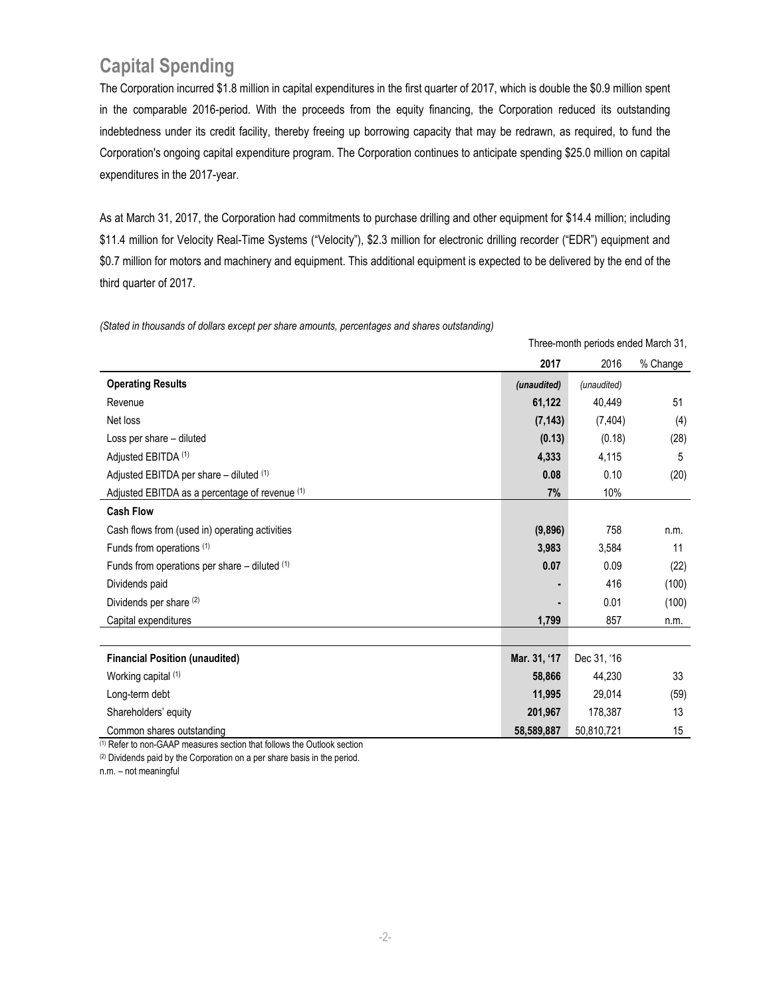### **Capital Spending**

The Corporation incurred \$1.8 million in capital expenditures in the first quarter of 2017, which is double the \$0.9 million spent in the comparable 2016-period. With the proceeds from the equity financing, the Corporation reduced its outstanding indebtedness under its credit facility, thereby freeing up borrowing capacity that may be redrawn, as required, to fund the Corporation's ongoing capital expenditure program. The Corporation continues to anticipate spending \$25.0 million on capital expenditures in the 2017-year.

As at March 31, 2017, the Corporation had commitments to purchase drilling and other equipment for \$14.4 million; including \$11.4 million for Velocity Real-Time Systems ("Velocity"), \$2.3 million for electronic drilling recorder ("EDR") equipment and \$0.7 million for motors and machinery and equipment. This additional equipment is expected to be delivered by the end of the third quarter of 2017.

*(Stated in thousands of dollars except per share amounts, percentages and shares outstanding)*

|                                                   | Three-month periods ended March 31, |             |          |
|---------------------------------------------------|-------------------------------------|-------------|----------|
|                                                   | 2017                                | 2016        | % Change |
| <b>Operating Results</b>                          | (unaudited)                         | (unaudited) |          |
| Revenue                                           | 61,122                              | 40,449      | 51       |
| Net loss                                          | (7, 143)                            | (7, 404)    | (4)      |
| Loss per share - diluted                          | (0.13)                              | (0.18)      | (28)     |
| Adjusted EBITDA (1)                               | 4,333                               | 4,115       | 5        |
| Adjusted EBITDA per share - diluted (1)           | 0.08                                | 0.10        | (20)     |
| Adjusted EBITDA as a percentage of revenue (1)    | 7%                                  | 10%         |          |
| <b>Cash Flow</b>                                  |                                     |             |          |
| Cash flows from (used in) operating activities    | (9,896)                             | 758         | n.m.     |
| Funds from operations (1)                         | 3,983                               | 3,584       | 11       |
| Funds from operations per share $-$ diluted $(1)$ | 0.07                                | 0.09        | (22)     |
| Dividends paid                                    |                                     | 416         | (100)    |
| Dividends per share (2)                           |                                     | 0.01        | (100)    |
| Capital expenditures                              | 1,799                               | 857         | n.m.     |
|                                                   |                                     |             |          |
| <b>Financial Position (unaudited)</b>             | Mar. 31, '17                        | Dec 31, '16 |          |
| Working capital (1)                               | 58,866                              | 44,230      | 33       |
| Long-term debt                                    | 11,995                              | 29,014      | (59)     |
| Shareholders' equity                              | 201,967                             | 178,387     | 13       |
| Common shares outstanding                         | 58,589,887                          | 50,810,721  | 15       |

(1) Refer to non-GAAP measures section that follows the Outlook section

(2) Dividends paid by the Corporation on a per share basis in the period.

n.m. – not meaningful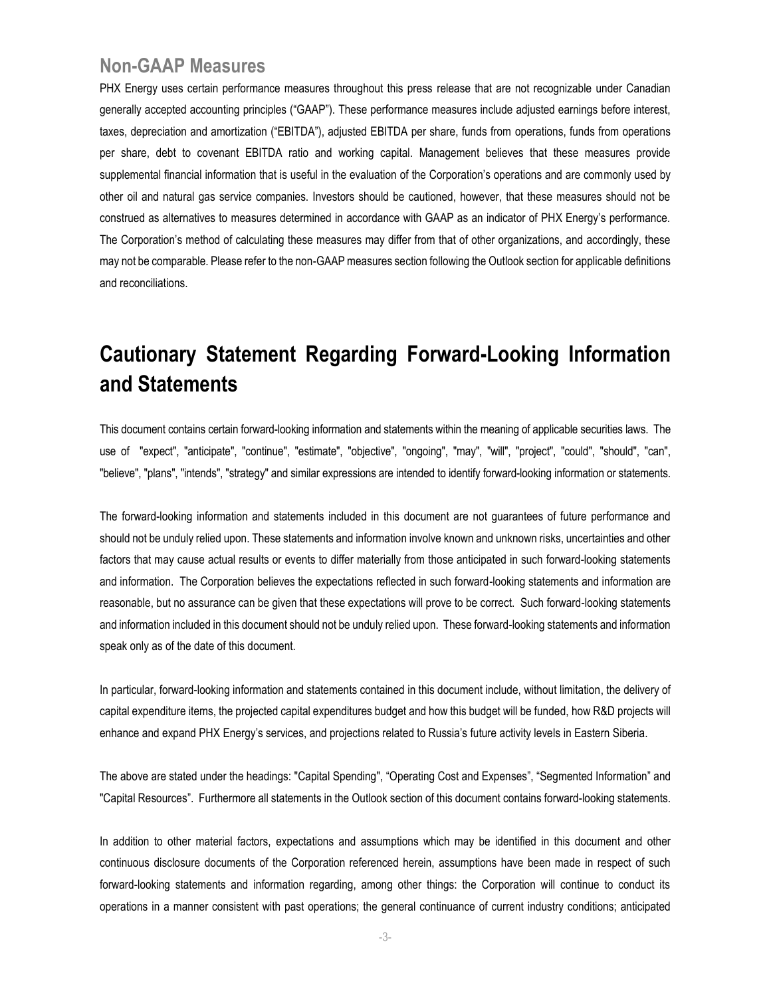#### **Non-GAAP Measures**

PHX Energy uses certain performance measures throughout this press release that are not recognizable under Canadian generally accepted accounting principles ("GAAP"). These performance measures include adjusted earnings before interest, taxes, depreciation and amortization ("EBITDA"), adjusted EBITDA per share, funds from operations, funds from operations per share, debt to covenant EBITDA ratio and working capital. Management believes that these measures provide supplemental financial information that is useful in the evaluation of the Corporation's operations and are commonly used by other oil and natural gas service companies. Investors should be cautioned, however, that these measures should not be construed as alternatives to measures determined in accordance with GAAP as an indicator of PHX Energy's performance. The Corporation's method of calculating these measures may differ from that of other organizations, and accordingly, these may not be comparable. Please refer to the non-GAAP measures section following the Outlook section for applicable definitions and reconciliations.

# **Cautionary Statement Regarding Forward-Looking Information and Statements**

This document contains certain forward-looking information and statements within the meaning of applicable securities laws. The use of "expect", "anticipate", "continue", "estimate", "objective", "ongoing", "may", "will", "project", "could", "should", "can", "believe", "plans", "intends", "strategy" and similar expressions are intended to identify forward-looking information or statements.

The forward-looking information and statements included in this document are not guarantees of future performance and should not be unduly relied upon. These statements and information involve known and unknown risks, uncertainties and other factors that may cause actual results or events to differ materially from those anticipated in such forward-looking statements and information. The Corporation believes the expectations reflected in such forward-looking statements and information are reasonable, but no assurance can be given that these expectations will prove to be correct. Such forward-looking statements and information included in this document should not be unduly relied upon. These forward-looking statements and information speak only as of the date of this document.

In particular, forward-looking information and statements contained in this document include, without limitation, the delivery of capital expenditure items, the projected capital expenditures budget and how this budget will be funded, how R&D projects will enhance and expand PHX Energy's services, and projections related to Russia's future activity levels in Eastern Siberia.

The above are stated under the headings: "Capital Spending", "Operating Cost and Expenses", "Segmented Information" and "Capital Resources". Furthermore all statements in the Outlook section of this document contains forward-looking statements.

In addition to other material factors, expectations and assumptions which may be identified in this document and other continuous disclosure documents of the Corporation referenced herein, assumptions have been made in respect of such forward-looking statements and information regarding, among other things: the Corporation will continue to conduct its operations in a manner consistent with past operations; the general continuance of current industry conditions; anticipated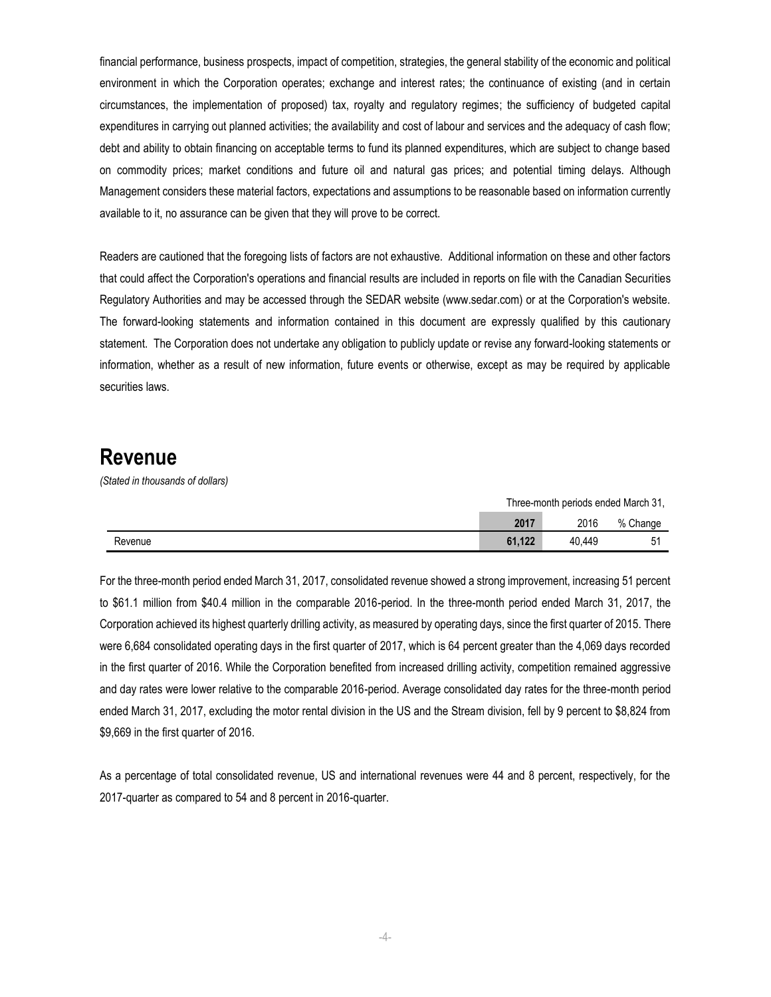financial performance, business prospects, impact of competition, strategies, the general stability of the economic and political environment in which the Corporation operates; exchange and interest rates; the continuance of existing (and in certain circumstances, the implementation of proposed) tax, royalty and regulatory regimes; the sufficiency of budgeted capital expenditures in carrying out planned activities; the availability and cost of labour and services and the adequacy of cash flow; debt and ability to obtain financing on acceptable terms to fund its planned expenditures, which are subject to change based on commodity prices; market conditions and future oil and natural gas prices; and potential timing delays. Although Management considers these material factors, expectations and assumptions to be reasonable based on information currently available to it, no assurance can be given that they will prove to be correct.

Readers are cautioned that the foregoing lists of factors are not exhaustive. Additional information on these and other factors that could affect the Corporation's operations and financial results are included in reports on file with the Canadian Securities Regulatory Authorities and may be accessed through the SEDAR website (www.sedar.com) or at the Corporation's website. The forward-looking statements and information contained in this document are expressly qualified by this cautionary statement. The Corporation does not undertake any obligation to publicly update or revise any forward-looking statements or information, whether as a result of new information, future events or otherwise, except as may be required by applicable securities laws.

#### **Revenue**

*(Stated in thousands of dollars)*

|         | Three-month periods ended March 31. |        |                |
|---------|-------------------------------------|--------|----------------|
|         | 2017                                | 2016   | % Change       |
| Revenue | 61.122                              | 40.449 | 5 <sup>1</sup> |

For the three-month period ended March 31, 2017, consolidated revenue showed a strong improvement, increasing 51 percent to \$61.1 million from \$40.4 million in the comparable 2016-period. In the three-month period ended March 31, 2017, the Corporation achieved its highest quarterly drilling activity, as measured by operating days, since the first quarter of 2015. There were 6,684 consolidated operating days in the first quarter of 2017, which is 64 percent greater than the 4,069 days recorded in the first quarter of 2016. While the Corporation benefited from increased drilling activity, competition remained aggressive and day rates were lower relative to the comparable 2016-period. Average consolidated day rates for the three-month period ended March 31, 2017, excluding the motor rental division in the US and the Stream division, fell by 9 percent to \$8,824 from \$9,669 in the first quarter of 2016.

As a percentage of total consolidated revenue, US and international revenues were 44 and 8 percent, respectively, for the 2017-quarter as compared to 54 and 8 percent in 2016-quarter.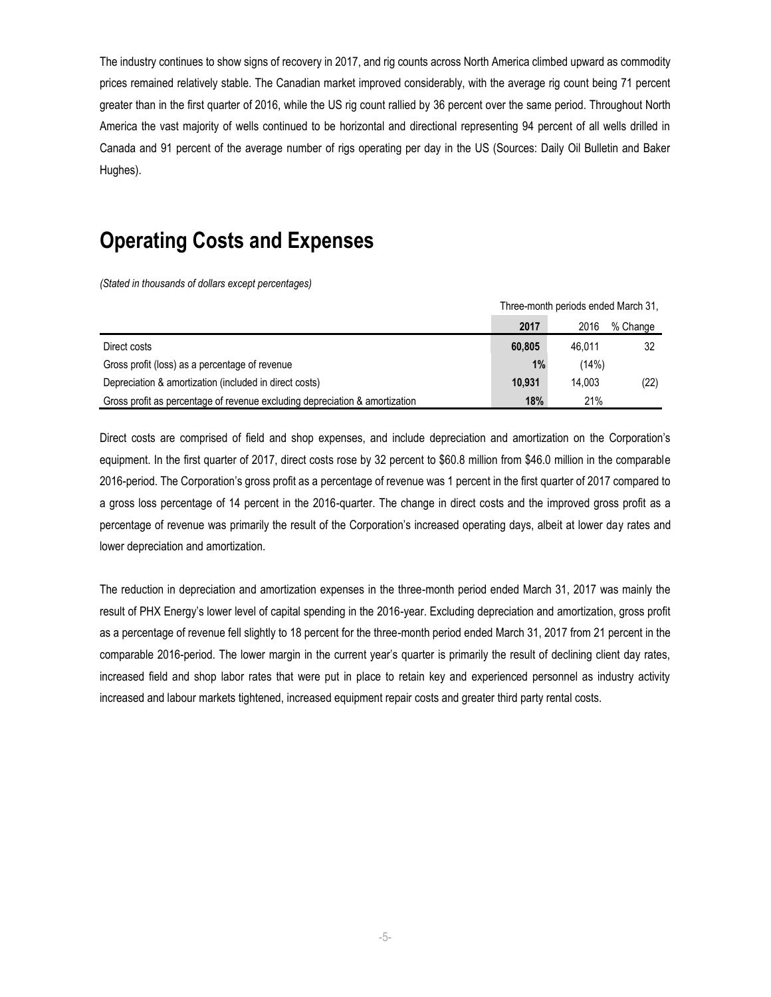The industry continues to show signs of recovery in 2017, and rig counts across North America climbed upward as commodity prices remained relatively stable. The Canadian market improved considerably, with the average rig count being 71 percent greater than in the first quarter of 2016, while the US rig count rallied by 36 percent over the same period. Throughout North America the vast majority of wells continued to be horizontal and directional representing 94 percent of all wells drilled in Canada and 91 percent of the average number of rigs operating per day in the US (Sources: Daily Oil Bulletin and Baker Hughes).

### **Operating Costs and Expenses**

*(Stated in thousands of dollars except percentages)*

|                                                                             | THRE-HOTION DENOUS ENGED MAICH 31. |        |          |
|-----------------------------------------------------------------------------|------------------------------------|--------|----------|
|                                                                             | 2017                               | 2016   | % Change |
| Direct costs                                                                | 60.805                             | 46.011 |          |
| Gross profit (loss) as a percentage of revenue                              | 1%                                 | (14%)  |          |
| Depreciation & amortization (included in direct costs)                      | 10.931                             | 14.003 | (22)     |
| Gross profit as percentage of revenue excluding depreciation & amortization | 18%                                | 21%    |          |

Three-month periods ended March 31,

Direct costs are comprised of field and shop expenses, and include depreciation and amortization on the Corporation's equipment. In the first quarter of 2017, direct costs rose by 32 percent to \$60.8 million from \$46.0 million in the comparable 2016-period. The Corporation's gross profit as a percentage of revenue was 1 percent in the first quarter of 2017 compared to a gross loss percentage of 14 percent in the 2016-quarter. The change in direct costs and the improved gross profit as a percentage of revenue was primarily the result of the Corporation's increased operating days, albeit at lower day rates and lower depreciation and amortization.

The reduction in depreciation and amortization expenses in the three-month period ended March 31, 2017 was mainly the result of PHX Energy's lower level of capital spending in the 2016-year. Excluding depreciation and amortization, gross profit as a percentage of revenue fell slightly to 18 percent for the three-month period ended March 31, 2017 from 21 percent in the comparable 2016-period. The lower margin in the current year's quarter is primarily the result of declining client day rates, increased field and shop labor rates that were put in place to retain key and experienced personnel as industry activity increased and labour markets tightened, increased equipment repair costs and greater third party rental costs.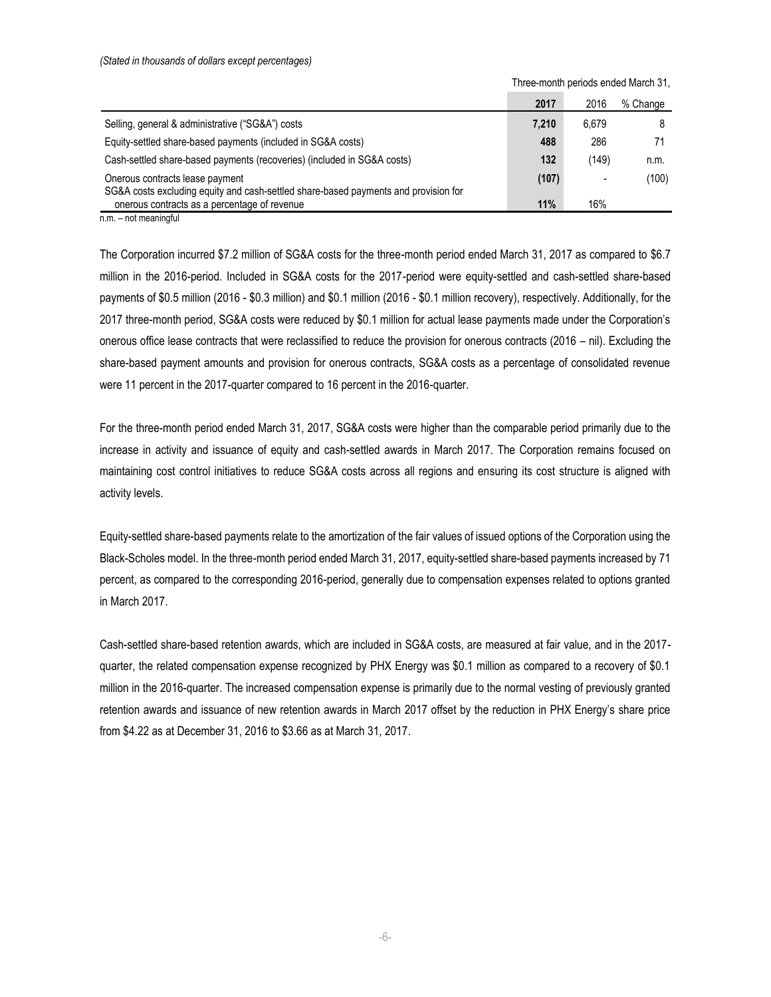|                                                                                                                                          | 2017  | 2016  | % Change |
|------------------------------------------------------------------------------------------------------------------------------------------|-------|-------|----------|
| Selling, general & administrative ("SG&A") costs                                                                                         | 7,210 | 6.679 | 8        |
| Equity-settled share-based payments (included in SG&A costs)                                                                             | 488   | 286   |          |
| Cash-settled share-based payments (recoveries) (included in SG&A costs)                                                                  | 132   | (149) | n.m.     |
| Onerous contracts lease payment                                                                                                          | (107) |       | (100)    |
| SG&A costs excluding equity and cash-settled share-based payments and provision for<br>onerous contracts as a percentage of revenue<br>. | 11%   | 16%   |          |

Three-month periods ended March 31,

n.m. – not meaningful

The Corporation incurred \$7.2 million of SG&A costs for the three-month period ended March 31, 2017 as compared to \$6.7 million in the 2016-period. Included in SG&A costs for the 2017-period were equity-settled and cash-settled share-based payments of \$0.5 million (2016 - \$0.3 million) and \$0.1 million (2016 - \$0.1 million recovery), respectively. Additionally, for the 2017 three-month period, SG&A costs were reduced by \$0.1 million for actual lease payments made under the Corporation's onerous office lease contracts that were reclassified to reduce the provision for onerous contracts (2016 – nil). Excluding the share-based payment amounts and provision for onerous contracts, SG&A costs as a percentage of consolidated revenue were 11 percent in the 2017-quarter compared to 16 percent in the 2016-quarter.

For the three-month period ended March 31, 2017, SG&A costs were higher than the comparable period primarily due to the increase in activity and issuance of equity and cash-settled awards in March 2017. The Corporation remains focused on maintaining cost control initiatives to reduce SG&A costs across all regions and ensuring its cost structure is aligned with activity levels.

Equity-settled share-based payments relate to the amortization of the fair values of issued options of the Corporation using the Black-Scholes model. In the three-month period ended March 31, 2017, equity-settled share-based payments increased by 71 percent, as compared to the corresponding 2016-period, generally due to compensation expenses related to options granted in March 2017.

Cash-settled share-based retention awards, which are included in SG&A costs, are measured at fair value, and in the 2017 quarter, the related compensation expense recognized by PHX Energy was \$0.1 million as compared to a recovery of \$0.1 million in the 2016-quarter. The increased compensation expense is primarily due to the normal vesting of previously granted retention awards and issuance of new retention awards in March 2017 offset by the reduction in PHX Energy's share price from \$4.22 as at December 31, 2016 to \$3.66 as at March 31, 2017.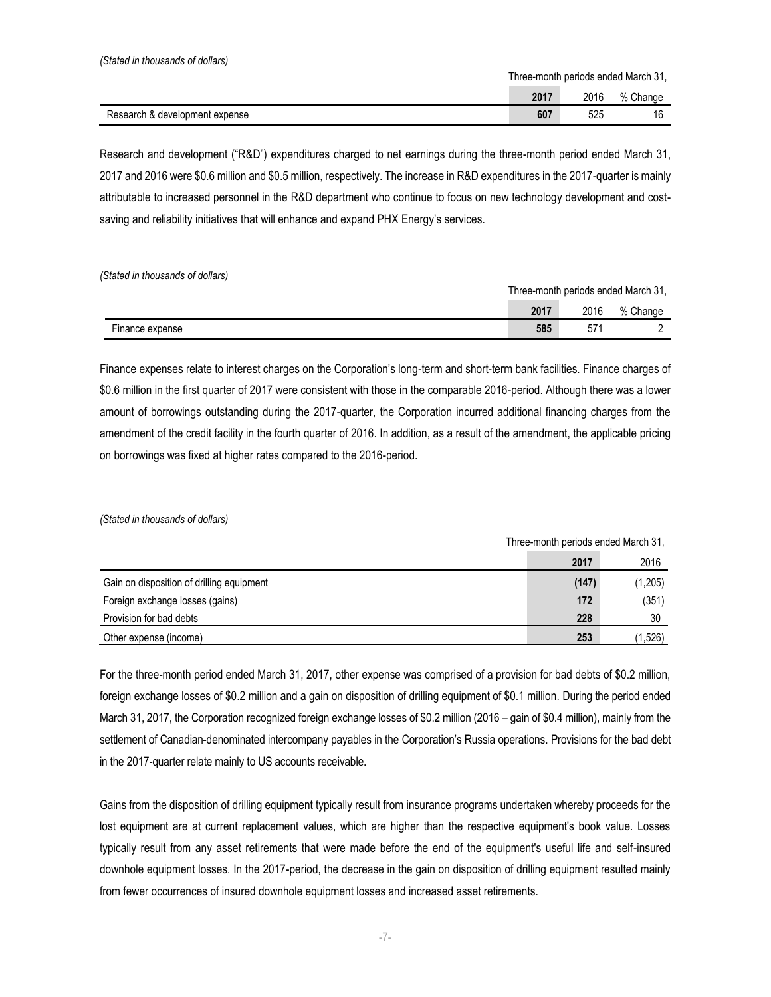Three-month periods ended March 31,

Three-month periods ended March 31,

|                                | 2017 | 2016 | Change<br>% \ |
|--------------------------------|------|------|---------------|
| Research & development expense | 607  | 525  | $\sim$<br>. U |

Research and development ("R&D") expenditures charged to net earnings during the three-month period ended March 31, 2017 and 2016 were \$0.6 million and \$0.5 million, respectively. The increase in R&D expenditures in the 2017-quarter is mainly attributable to increased personnel in the R&D department who continue to focus on new technology development and costsaving and reliability initiatives that will enhance and expand PHX Energy's services.

*(Stated in thousands of dollars)*

|                 | Three-month periods ended March 31. |      |          |
|-----------------|-------------------------------------|------|----------|
|                 | 2017                                | 2016 | % Change |
| Finance expense | 585                                 | 57   |          |

Finance expenses relate to interest charges on the Corporation's long-term and short-term bank facilities. Finance charges of \$0.6 million in the first quarter of 2017 were consistent with those in the comparable 2016-period. Although there was a lower amount of borrowings outstanding during the 2017-quarter, the Corporation incurred additional financing charges from the amendment of the credit facility in the fourth quarter of 2016. In addition, as a result of the amendment, the applicable pricing on borrowings was fixed at higher rates compared to the 2016-period.

*(Stated in thousands of dollars)*

| <b>THICC-HOHEL DEHOUS CHUCU MUCH OT,</b>  |       |         |
|-------------------------------------------|-------|---------|
|                                           | 2017  | 2016    |
| Gain on disposition of drilling equipment | (147) | (1,205) |
| Foreign exchange losses (gains)           | 172   | (351)   |
| Provision for bad debts                   | 228   | 30      |
| Other expense (income)                    | 253   | (1,526) |

For the three-month period ended March 31, 2017, other expense was comprised of a provision for bad debts of \$0.2 million, foreign exchange losses of \$0.2 million and a gain on disposition of drilling equipment of \$0.1 million. During the period ended March 31, 2017, the Corporation recognized foreign exchange losses of \$0.2 million (2016 – gain of \$0.4 million), mainly from the settlement of Canadian-denominated intercompany payables in the Corporation's Russia operations. Provisions for the bad debt in the 2017-quarter relate mainly to US accounts receivable.

Gains from the disposition of drilling equipment typically result from insurance programs undertaken whereby proceeds for the lost equipment are at current replacement values, which are higher than the respective equipment's book value. Losses typically result from any asset retirements that were made before the end of the equipment's useful life and self-insured downhole equipment losses. In the 2017-period, the decrease in the gain on disposition of drilling equipment resulted mainly from fewer occurrences of insured downhole equipment losses and increased asset retirements.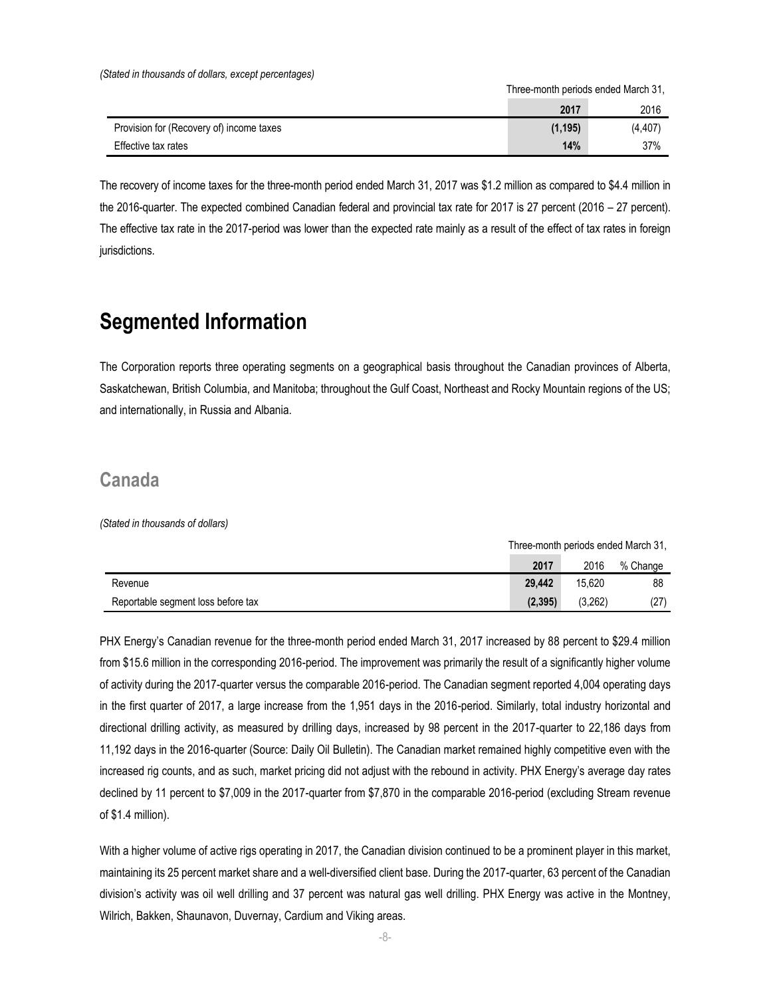*(Stated in thousands of dollars, except percentages)*

Three-month periods ended March 31,

|                                          | 2017     | 2016     |
|------------------------------------------|----------|----------|
| Provision for (Recovery of) income taxes | (1, 195) | (4, 407) |
| Effective tax rates                      | 14%      | 37%      |

The recovery of income taxes for the three-month period ended March 31, 2017 was \$1.2 million as compared to \$4.4 million in the 2016-quarter. The expected combined Canadian federal and provincial tax rate for 2017 is 27 percent (2016 – 27 percent). The effective tax rate in the 2017-period was lower than the expected rate mainly as a result of the effect of tax rates in foreign jurisdictions.

### **Segmented Information**

The Corporation reports three operating segments on a geographical basis throughout the Canadian provinces of Alberta, Saskatchewan, British Columbia, and Manitoba; throughout the Gulf Coast, Northeast and Rocky Mountain regions of the US; and internationally, in Russia and Albania.

#### **Canada**

*(Stated in thousands of dollars)*

|                                    | Three-month periods ended March 31. |         |          |
|------------------------------------|-------------------------------------|---------|----------|
|                                    | 2017                                | 2016    | % Change |
| Revenue                            | 29.442                              | 15.620  | 88       |
| Reportable segment loss before tax | (2.395)                             | (3.262) | (27)     |

PHX Energy's Canadian revenue for the three-month period ended March 31, 2017 increased by 88 percent to \$29.4 million from \$15.6 million in the corresponding 2016-period. The improvement was primarily the result of a significantly higher volume of activity during the 2017-quarter versus the comparable 2016-period. The Canadian segment reported 4,004 operating days in the first quarter of 2017, a large increase from the 1,951 days in the 2016-period. Similarly, total industry horizontal and directional drilling activity, as measured by drilling days, increased by 98 percent in the 2017-quarter to 22,186 days from 11,192 days in the 2016-quarter (Source: Daily Oil Bulletin). The Canadian market remained highly competitive even with the increased rig counts, and as such, market pricing did not adjust with the rebound in activity. PHX Energy's average day rates declined by 11 percent to \$7,009 in the 2017-quarter from \$7,870 in the comparable 2016-period (excluding Stream revenue of \$1.4 million).

With a higher volume of active rigs operating in 2017, the Canadian division continued to be a prominent player in this market, maintaining its 25 percent market share and a well-diversified client base. During the 2017-quarter, 63 percent of the Canadian division's activity was oil well drilling and 37 percent was natural gas well drilling. PHX Energy was active in the Montney, Wilrich, Bakken, Shaunavon, Duvernay, Cardium and Viking areas.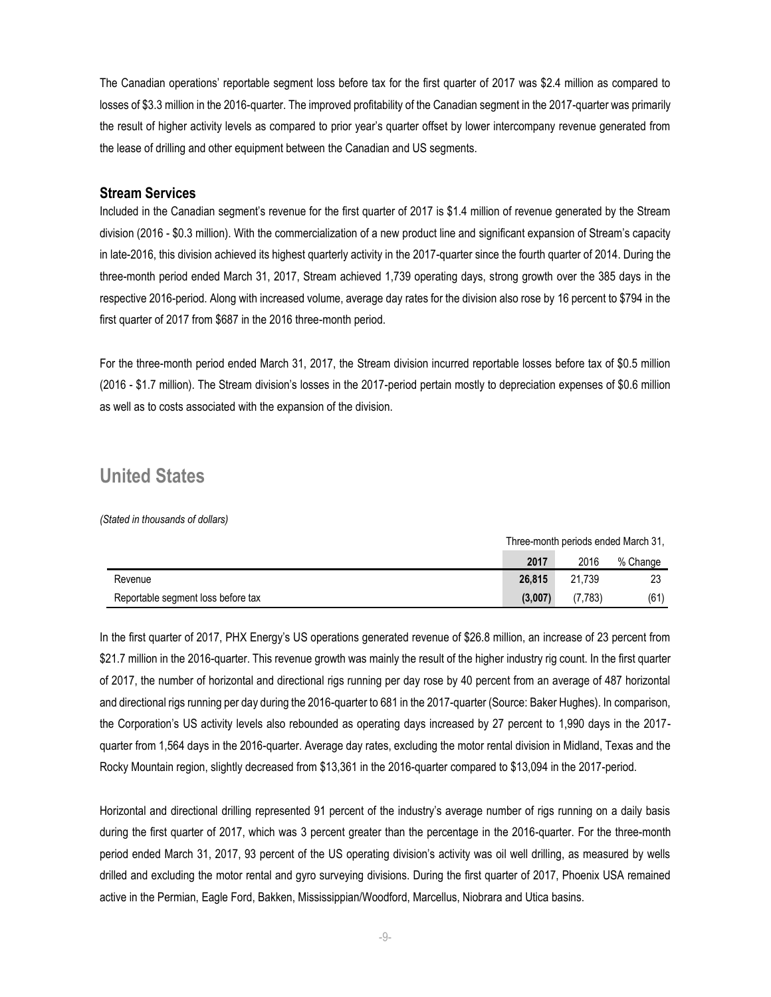The Canadian operations' reportable segment loss before tax for the first quarter of 2017 was \$2.4 million as compared to losses of \$3.3 million in the 2016-quarter. The improved profitability of the Canadian segment in the 2017-quarter was primarily the result of higher activity levels as compared to prior year's quarter offset by lower intercompany revenue generated from the lease of drilling and other equipment between the Canadian and US segments.

#### **Stream Services**

Included in the Canadian segment's revenue for the first quarter of 2017 is \$1.4 million of revenue generated by the Stream division (2016 - \$0.3 million). With the commercialization of a new product line and significant expansion of Stream's capacity in late-2016, this division achieved its highest quarterly activity in the 2017-quarter since the fourth quarter of 2014. During the three-month period ended March 31, 2017, Stream achieved 1,739 operating days, strong growth over the 385 days in the respective 2016-period. Along with increased volume, average day rates for the division also rose by 16 percent to \$794 in the first quarter of 2017 from \$687 in the 2016 three-month period.

For the three-month period ended March 31, 2017, the Stream division incurred reportable losses before tax of \$0.5 million (2016 - \$1.7 million). The Stream division's losses in the 2017-period pertain mostly to depreciation expenses of \$0.6 million as well as to costs associated with the expansion of the division.

#### **United States**

*(Stated in thousands of dollars)*

|                                    | Three-month periods ended March 31, |         |          |
|------------------------------------|-------------------------------------|---------|----------|
|                                    | 2017                                | 2016    | % Change |
| Revenue                            | 26,815                              | 21.739  | 23       |
| Reportable segment loss before tax | (3,007)                             | (7.783) | (61)     |

In the first quarter of 2017, PHX Energy's US operations generated revenue of \$26.8 million, an increase of 23 percent from \$21.7 million in the 2016-quarter. This revenue growth was mainly the result of the higher industry rig count. In the first quarter of 2017, the number of horizontal and directional rigs running per day rose by 40 percent from an average of 487 horizontal and directional rigs running per day during the 2016-quarter to 681 in the 2017-quarter (Source: Baker Hughes). In comparison, the Corporation's US activity levels also rebounded as operating days increased by 27 percent to 1,990 days in the 2017 quarter from 1,564 days in the 2016-quarter. Average day rates, excluding the motor rental division in Midland, Texas and the Rocky Mountain region, slightly decreased from \$13,361 in the 2016-quarter compared to \$13,094 in the 2017-period.

Horizontal and directional drilling represented 91 percent of the industry's average number of rigs running on a daily basis during the first quarter of 2017, which was 3 percent greater than the percentage in the 2016-quarter. For the three-month period ended March 31, 2017, 93 percent of the US operating division's activity was oil well drilling, as measured by wells drilled and excluding the motor rental and gyro surveying divisions. During the first quarter of 2017, Phoenix USA remained active in the Permian, Eagle Ford, Bakken, Mississippian/Woodford, Marcellus, Niobrara and Utica basins.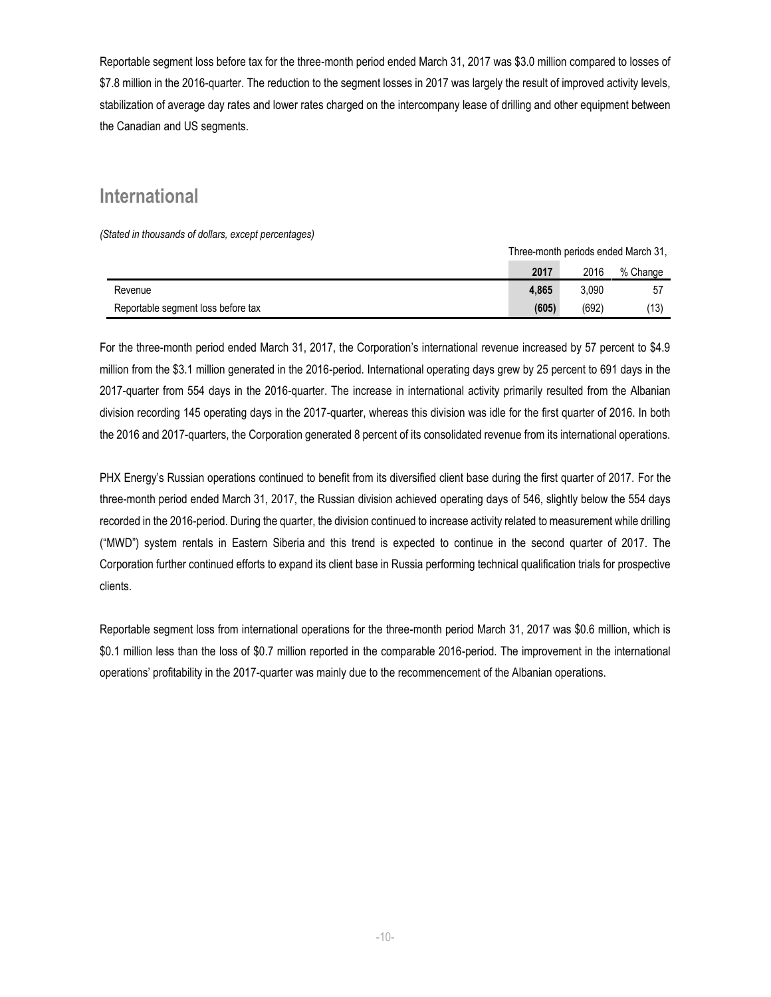Reportable segment loss before tax for the three-month period ended March 31, 2017 was \$3.0 million compared to losses of \$7.8 million in the 2016-quarter. The reduction to the segment losses in 2017 was largely the result of improved activity levels, stabilization of average day rates and lower rates charged on the intercompany lease of drilling and other equipment between the Canadian and US segments.

#### **International**

*(Stated in thousands of dollars, except percentages)*

|                                    | Three-month periods ended March 31, |       |          |
|------------------------------------|-------------------------------------|-------|----------|
|                                    | 2017                                | 2016  | % Change |
| Revenue                            | 4.865                               | 3.090 | 57       |
| Reportable segment loss before tax | (605)                               | (692) | (13)     |

For the three-month period ended March 31, 2017, the Corporation's international revenue increased by 57 percent to \$4.9 million from the \$3.1 million generated in the 2016-period. International operating days grew by 25 percent to 691 days in the 2017-quarter from 554 days in the 2016-quarter. The increase in international activity primarily resulted from the Albanian division recording 145 operating days in the 2017-quarter, whereas this division was idle for the first quarter of 2016. In both the 2016 and 2017-quarters, the Corporation generated 8 percent of its consolidated revenue from its international operations.

PHX Energy's Russian operations continued to benefit from its diversified client base during the first quarter of 2017. For the three-month period ended March 31, 2017, the Russian division achieved operating days of 546, slightly below the 554 days recorded in the 2016-period. During the quarter, the division continued to increase activity related to measurement while drilling ("MWD") system rentals in Eastern Siberia and this trend is expected to continue in the second quarter of 2017. The Corporation further continued efforts to expand its client base in Russia performing technical qualification trials for prospective clients.

Reportable segment loss from international operations for the three-month period March 31, 2017 was \$0.6 million, which is \$0.1 million less than the loss of \$0.7 million reported in the comparable 2016-period. The improvement in the international operations' profitability in the 2017-quarter was mainly due to the recommencement of the Albanian operations.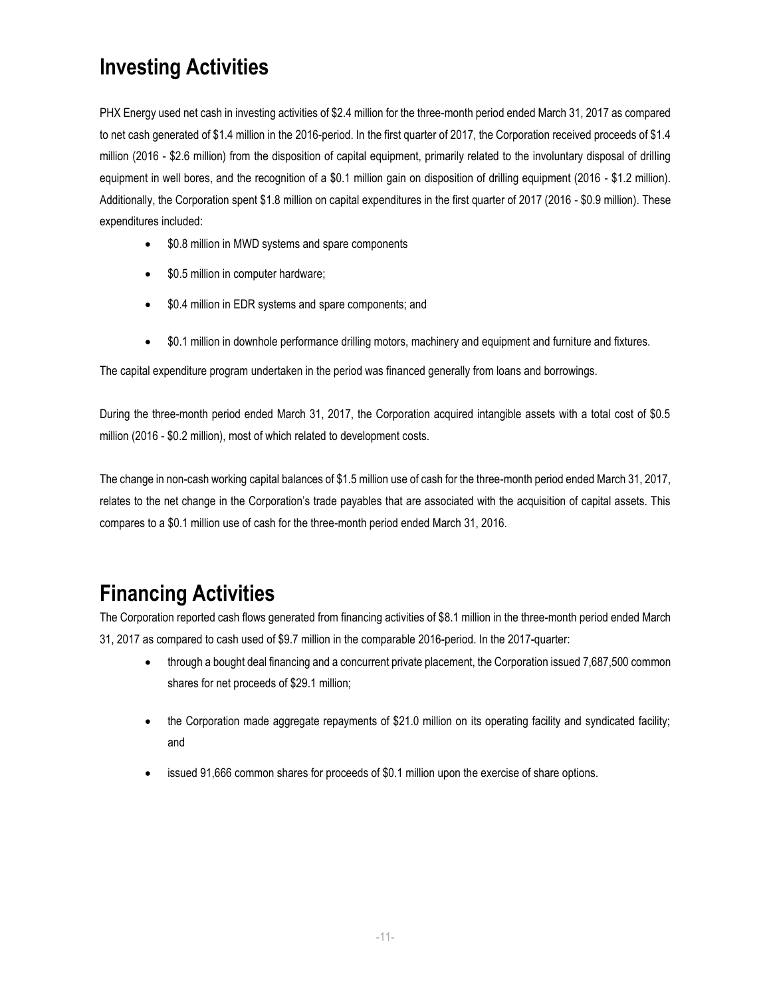# **Investing Activities**

PHX Energy used net cash in investing activities of \$2.4 million for the three-month period ended March 31, 2017 as compared to net cash generated of \$1.4 million in the 2016-period. In the first quarter of 2017, the Corporation received proceeds of \$1.4 million (2016 - \$2.6 million) from the disposition of capital equipment, primarily related to the involuntary disposal of drilling equipment in well bores, and the recognition of a \$0.1 million gain on disposition of drilling equipment (2016 - \$1.2 million). Additionally, the Corporation spent \$1.8 million on capital expenditures in the first quarter of 2017 (2016 - \$0.9 million). These expenditures included:

- \$0.8 million in MWD systems and spare components
- \$0.5 million in computer hardware;
- \$0.4 million in EDR systems and spare components; and
- \$0.1 million in downhole performance drilling motors, machinery and equipment and furniture and fixtures.

The capital expenditure program undertaken in the period was financed generally from loans and borrowings.

During the three-month period ended March 31, 2017, the Corporation acquired intangible assets with a total cost of \$0.5 million (2016 - \$0.2 million), most of which related to development costs.

The change in non-cash working capital balances of \$1.5 million use of cash for the three-month period ended March 31, 2017, relates to the net change in the Corporation's trade payables that are associated with the acquisition of capital assets. This compares to a \$0.1 million use of cash for the three-month period ended March 31, 2016.

# **Financing Activities**

The Corporation reported cash flows generated from financing activities of \$8.1 million in the three-month period ended March 31, 2017 as compared to cash used of \$9.7 million in the comparable 2016-period. In the 2017-quarter:

- through a bought deal financing and a concurrent private placement, the Corporation issued 7,687,500 common shares for net proceeds of \$29.1 million;
- the Corporation made aggregate repayments of \$21.0 million on its operating facility and syndicated facility; and
- issued 91,666 common shares for proceeds of \$0.1 million upon the exercise of share options.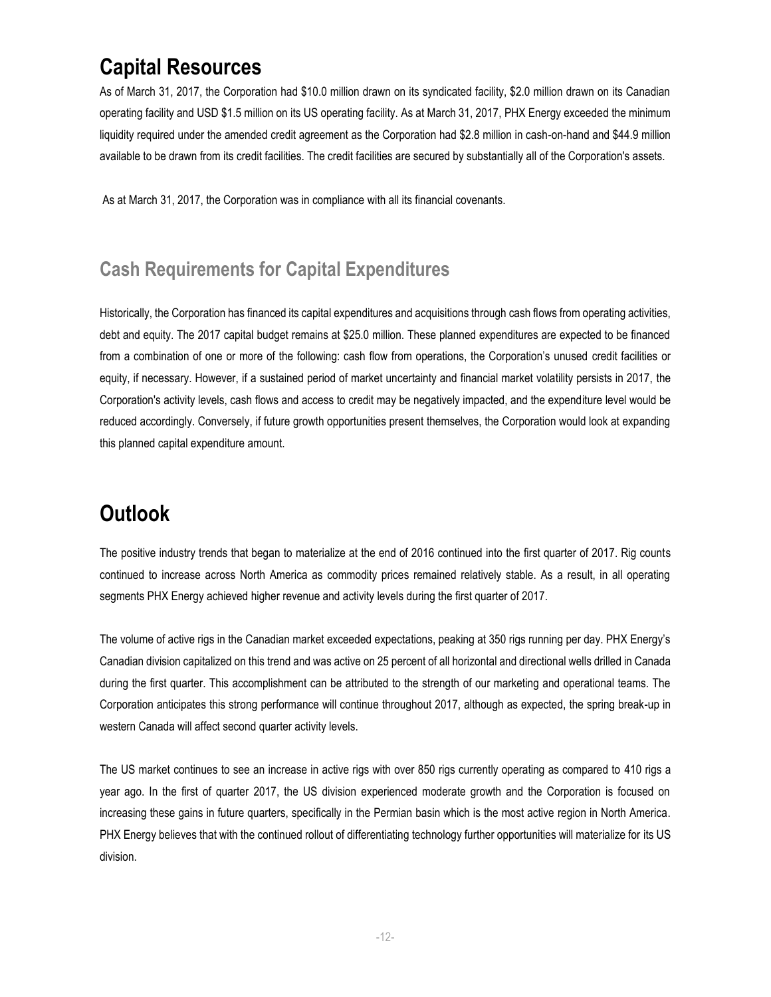# **Capital Resources**

As of March 31, 2017, the Corporation had \$10.0 million drawn on its syndicated facility, \$2.0 million drawn on its Canadian operating facility and USD \$1.5 million on its US operating facility. As at March 31, 2017, PHX Energy exceeded the minimum liquidity required under the amended credit agreement as the Corporation had \$2.8 million in cash-on-hand and \$44.9 million available to be drawn from its credit facilities. The credit facilities are secured by substantially all of the Corporation's assets.

As at March 31, 2017, the Corporation was in compliance with all its financial covenants.

### **Cash Requirements for Capital Expenditures**

Historically, the Corporation has financed its capital expenditures and acquisitions through cash flows from operating activities, debt and equity. The 2017 capital budget remains at \$25.0 million. These planned expenditures are expected to be financed from a combination of one or more of the following: cash flow from operations, the Corporation's unused credit facilities or equity, if necessary. However, if a sustained period of market uncertainty and financial market volatility persists in 2017, the Corporation's activity levels, cash flows and access to credit may be negatively impacted, and the expenditure level would be reduced accordingly. Conversely, if future growth opportunities present themselves, the Corporation would look at expanding this planned capital expenditure amount.

# **Outlook**

The positive industry trends that began to materialize at the end of 2016 continued into the first quarter of 2017. Rig counts continued to increase across North America as commodity prices remained relatively stable. As a result, in all operating segments PHX Energy achieved higher revenue and activity levels during the first quarter of 2017.

The volume of active rigs in the Canadian market exceeded expectations, peaking at 350 rigs running per day. PHX Energy's Canadian division capitalized on this trend and was active on 25 percent of all horizontal and directional wells drilled in Canada during the first quarter. This accomplishment can be attributed to the strength of our marketing and operational teams. The Corporation anticipates this strong performance will continue throughout 2017, although as expected, the spring break-up in western Canada will affect second quarter activity levels.

The US market continues to see an increase in active rigs with over 850 rigs currently operating as compared to 410 rigs a year ago. In the first of quarter 2017, the US division experienced moderate growth and the Corporation is focused on increasing these gains in future quarters, specifically in the Permian basin which is the most active region in North America. PHX Energy believes that with the continued rollout of differentiating technology further opportunities will materialize for its US division.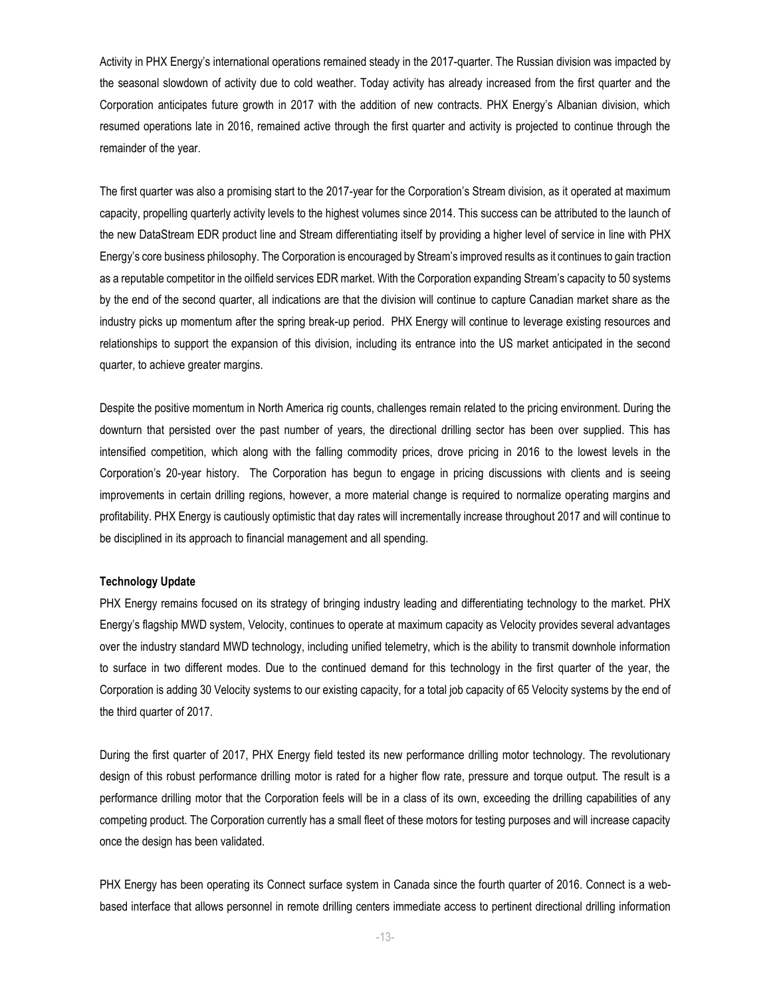Activity in PHX Energy's international operations remained steady in the 2017-quarter. The Russian division was impacted by the seasonal slowdown of activity due to cold weather. Today activity has already increased from the first quarter and the Corporation anticipates future growth in 2017 with the addition of new contracts. PHX Energy's Albanian division, which resumed operations late in 2016, remained active through the first quarter and activity is projected to continue through the remainder of the year.

The first quarter was also a promising start to the 2017-year for the Corporation's Stream division, as it operated at maximum capacity, propelling quarterly activity levels to the highest volumes since 2014. This success can be attributed to the launch of the new DataStream EDR product line and Stream differentiating itself by providing a higher level of service in line with PHX Energy's core business philosophy. The Corporation is encouraged by Stream's improved results as it continues to gain traction as a reputable competitor in the oilfield services EDR market. With the Corporation expanding Stream's capacity to 50 systems by the end of the second quarter, all indications are that the division will continue to capture Canadian market share as the industry picks up momentum after the spring break-up period. PHX Energy will continue to leverage existing resources and relationships to support the expansion of this division, including its entrance into the US market anticipated in the second quarter, to achieve greater margins.

Despite the positive momentum in North America rig counts, challenges remain related to the pricing environment. During the downturn that persisted over the past number of years, the directional drilling sector has been over supplied. This has intensified competition, which along with the falling commodity prices, drove pricing in 2016 to the lowest levels in the Corporation's 20-year history. The Corporation has begun to engage in pricing discussions with clients and is seeing improvements in certain drilling regions, however, a more material change is required to normalize operating margins and profitability. PHX Energy is cautiously optimistic that day rates will incrementally increase throughout 2017 and will continue to be disciplined in its approach to financial management and all spending.

#### **Technology Update**

PHX Energy remains focused on its strategy of bringing industry leading and differentiating technology to the market. PHX Energy's flagship MWD system, Velocity, continues to operate at maximum capacity as Velocity provides several advantages over the industry standard MWD technology, including unified telemetry, which is the ability to transmit downhole information to surface in two different modes. Due to the continued demand for this technology in the first quarter of the year, the Corporation is adding 30 Velocity systems to our existing capacity, for a total job capacity of 65 Velocity systems by the end of the third quarter of 2017.

During the first quarter of 2017, PHX Energy field tested its new performance drilling motor technology. The revolutionary design of this robust performance drilling motor is rated for a higher flow rate, pressure and torque output. The result is a performance drilling motor that the Corporation feels will be in a class of its own, exceeding the drilling capabilities of any competing product. The Corporation currently has a small fleet of these motors for testing purposes and will increase capacity once the design has been validated.

PHX Energy has been operating its Connect surface system in Canada since the fourth quarter of 2016. Connect is a webbased interface that allows personnel in remote drilling centers immediate access to pertinent directional drilling information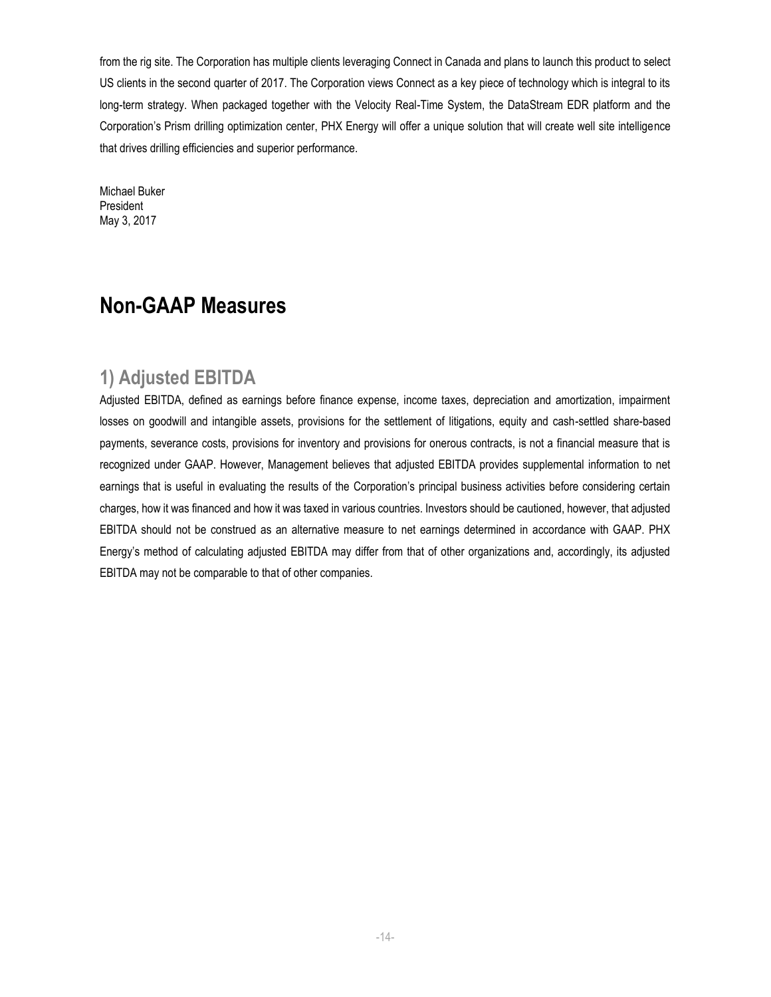from the rig site. The Corporation has multiple clients leveraging Connect in Canada and plans to launch this product to select US clients in the second quarter of 2017. The Corporation views Connect as a key piece of technology which is integral to its long-term strategy. When packaged together with the Velocity Real-Time System, the DataStream EDR platform and the Corporation's Prism drilling optimization center, PHX Energy will offer a unique solution that will create well site intelligence that drives drilling efficiencies and superior performance.

Michael Buker President May 3, 2017

### **Non-GAAP Measures**

#### **1) Adjusted EBITDA**

Adjusted EBITDA, defined as earnings before finance expense, income taxes, depreciation and amortization, impairment losses on goodwill and intangible assets, provisions for the settlement of litigations, equity and cash-settled share-based payments, severance costs, provisions for inventory and provisions for onerous contracts, is not a financial measure that is recognized under GAAP. However, Management believes that adjusted EBITDA provides supplemental information to net earnings that is useful in evaluating the results of the Corporation's principal business activities before considering certain charges, how it was financed and how it was taxed in various countries. Investors should be cautioned, however, that adjusted EBITDA should not be construed as an alternative measure to net earnings determined in accordance with GAAP. PHX Energy's method of calculating adjusted EBITDA may differ from that of other organizations and, accordingly, its adjusted EBITDA may not be comparable to that of other companies.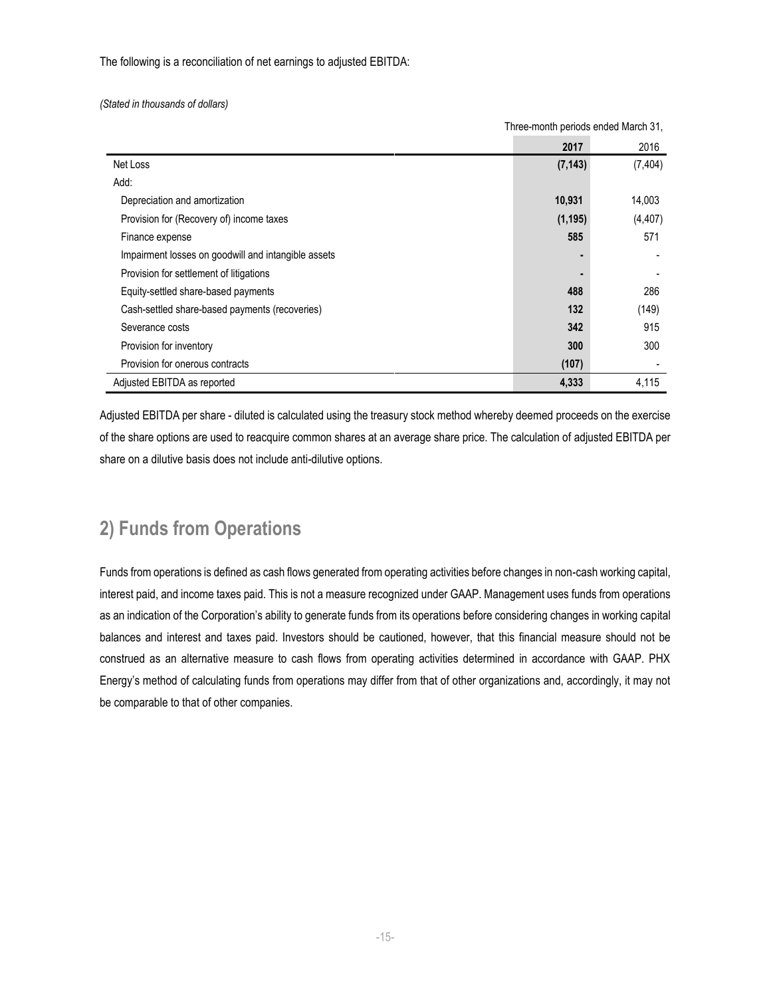The following is a reconciliation of net earnings to adjusted EBITDA:

*(Stated in thousands of dollars)*

| <u>THISS-INDITIII DENOUS ENGEU MAIUN JT,</u>        |          |          |
|-----------------------------------------------------|----------|----------|
|                                                     | 2017     | 2016     |
| Net Loss                                            | (7, 143) | (7, 404) |
| Add:                                                |          |          |
| Depreciation and amortization                       | 10,931   | 14,003   |
| Provision for (Recovery of) income taxes            | (1, 195) | (4, 407) |
| Finance expense                                     | 585      | 571      |
| Impairment losses on goodwill and intangible assets |          |          |
| Provision for settlement of litigations             |          |          |
| Equity-settled share-based payments                 | 488      | 286      |
| Cash-settled share-based payments (recoveries)      | 132      | (149)    |
| Severance costs                                     | 342      | 915      |
| Provision for inventory                             | 300      | 300      |
| Provision for onerous contracts                     | (107)    |          |
| Adjusted EBITDA as reported                         | 4,333    | 4,115    |

Three-month periods ended March 31,

Adjusted EBITDA per share - diluted is calculated using the treasury stock method whereby deemed proceeds on the exercise of the share options are used to reacquire common shares at an average share price. The calculation of adjusted EBITDA per share on a dilutive basis does not include anti-dilutive options.

### **2) Funds from Operations**

Funds from operations is defined as cash flows generated from operating activities before changes in non-cash working capital, interest paid, and income taxes paid. This is not a measure recognized under GAAP. Management uses funds from operations as an indication of the Corporation's ability to generate funds from its operations before considering changes in working capital balances and interest and taxes paid. Investors should be cautioned, however, that this financial measure should not be construed as an alternative measure to cash flows from operating activities determined in accordance with GAAP. PHX Energy's method of calculating funds from operations may differ from that of other organizations and, accordingly, it may not be comparable to that of other companies.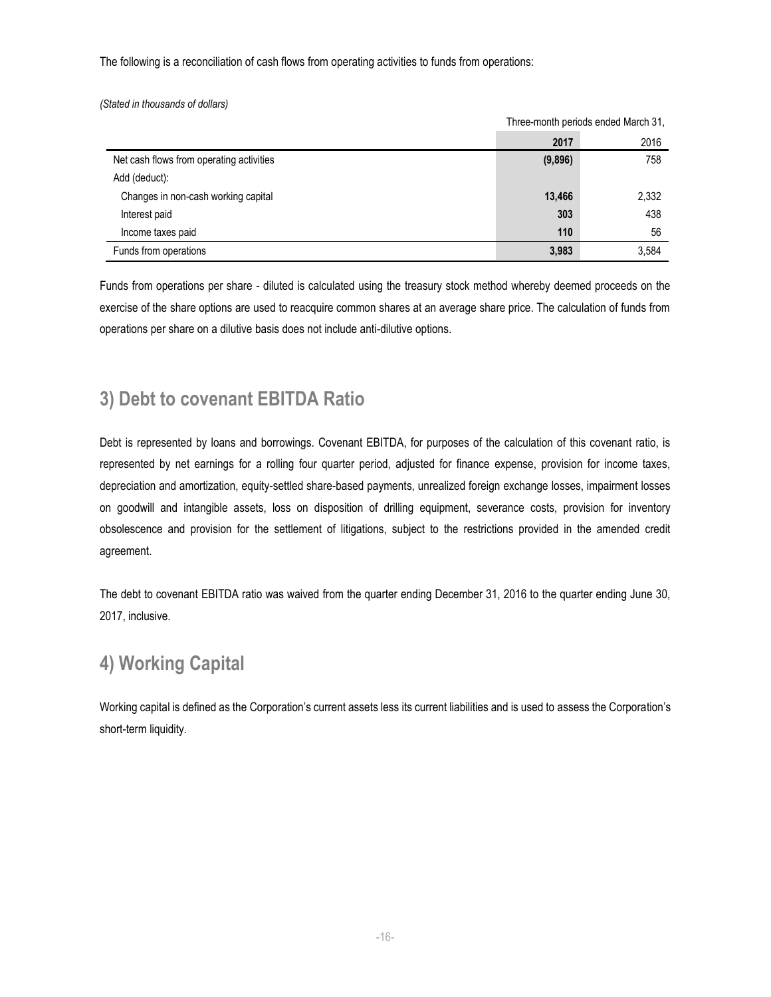The following is a reconciliation of cash flows from operating activities to funds from operations:

*(Stated in thousands of dollars)*

|                                          |         | Three-month periods ended March 31. |
|------------------------------------------|---------|-------------------------------------|
|                                          | 2017    | 2016                                |
| Net cash flows from operating activities | (9,896) | 758                                 |
| Add (deduct):                            |         |                                     |
| Changes in non-cash working capital      | 13,466  | 2,332                               |
| Interest paid                            | 303     | 438                                 |
| Income taxes paid                        | 110     | 56                                  |
| Funds from operations                    | 3,983   | 3,584                               |

Three-month periods ended March 31,

Funds from operations per share - diluted is calculated using the treasury stock method whereby deemed proceeds on the exercise of the share options are used to reacquire common shares at an average share price. The calculation of funds from operations per share on a dilutive basis does not include anti-dilutive options.

#### **3) Debt to covenant EBITDA Ratio**

Debt is represented by loans and borrowings. Covenant EBITDA, for purposes of the calculation of this covenant ratio, is represented by net earnings for a rolling four quarter period, adjusted for finance expense, provision for income taxes, depreciation and amortization, equity-settled share-based payments, unrealized foreign exchange losses, impairment losses on goodwill and intangible assets, loss on disposition of drilling equipment, severance costs, provision for inventory obsolescence and provision for the settlement of litigations, subject to the restrictions provided in the amended credit agreement.

The debt to covenant EBITDA ratio was waived from the quarter ending December 31, 2016 to the quarter ending June 30, 2017, inclusive.

### **4) Working Capital**

Working capital is defined as the Corporation's current assets less its current liabilities and is used to assess the Corporation's short-term liquidity.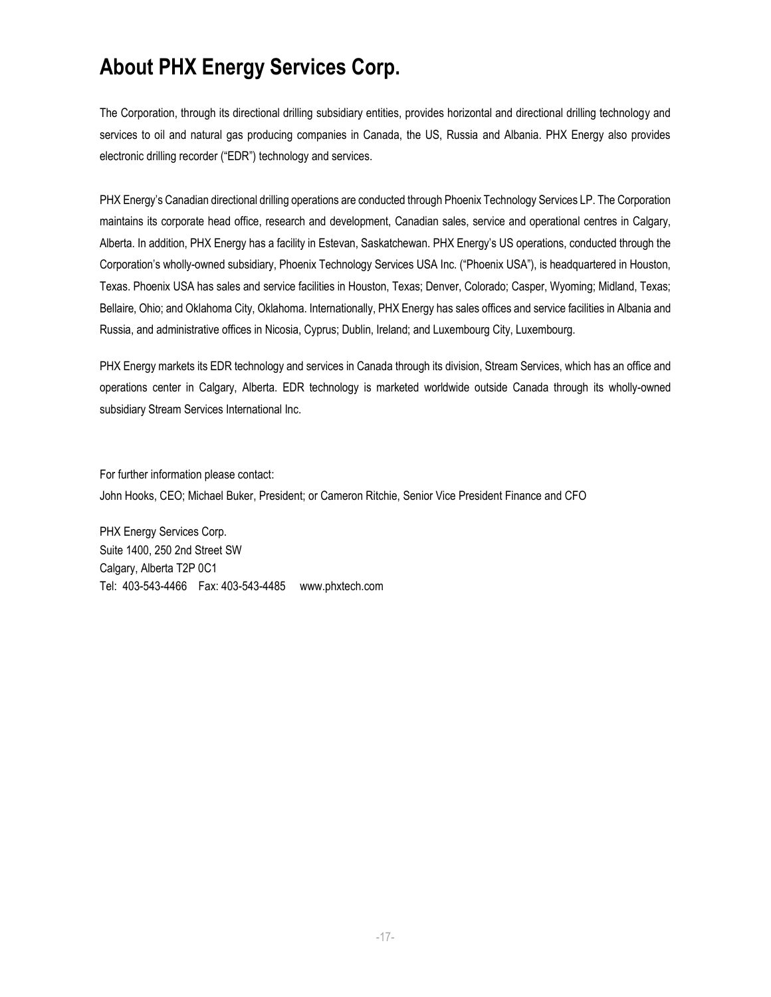# **About PHX Energy Services Corp.**

The Corporation, through its directional drilling subsidiary entities, provides horizontal and directional drilling technology and services to oil and natural gas producing companies in Canada, the US, Russia and Albania. PHX Energy also provides electronic drilling recorder ("EDR") technology and services.

PHX Energy's Canadian directional drilling operations are conducted through Phoenix Technology Services LP. The Corporation maintains its corporate head office, research and development, Canadian sales, service and operational centres in Calgary, Alberta. In addition, PHX Energy has a facility in Estevan, Saskatchewan. PHX Energy's US operations, conducted through the Corporation's wholly-owned subsidiary, Phoenix Technology Services USA Inc. ("Phoenix USA"), is headquartered in Houston, Texas. Phoenix USA has sales and service facilities in Houston, Texas; Denver, Colorado; Casper, Wyoming; Midland, Texas; Bellaire, Ohio; and Oklahoma City, Oklahoma. Internationally, PHX Energy has sales offices and service facilities in Albania and Russia, and administrative offices in Nicosia, Cyprus; Dublin, Ireland; and Luxembourg City, Luxembourg.

PHX Energy markets its EDR technology and services in Canada through its division, Stream Services, which has an office and operations center in Calgary, Alberta. EDR technology is marketed worldwide outside Canada through its wholly-owned subsidiary Stream Services International Inc.

For further information please contact: John Hooks, CEO; Michael Buker, President; or Cameron Ritchie, Senior Vice President Finance and CFO

PHX Energy Services Corp. Suite 1400, 250 2nd Street SW Calgary, Alberta T2P 0C1 Tel: 403-543-4466 Fax: 403-543-4485 [www.phxtech.com](http://www.phoenixcan.com/)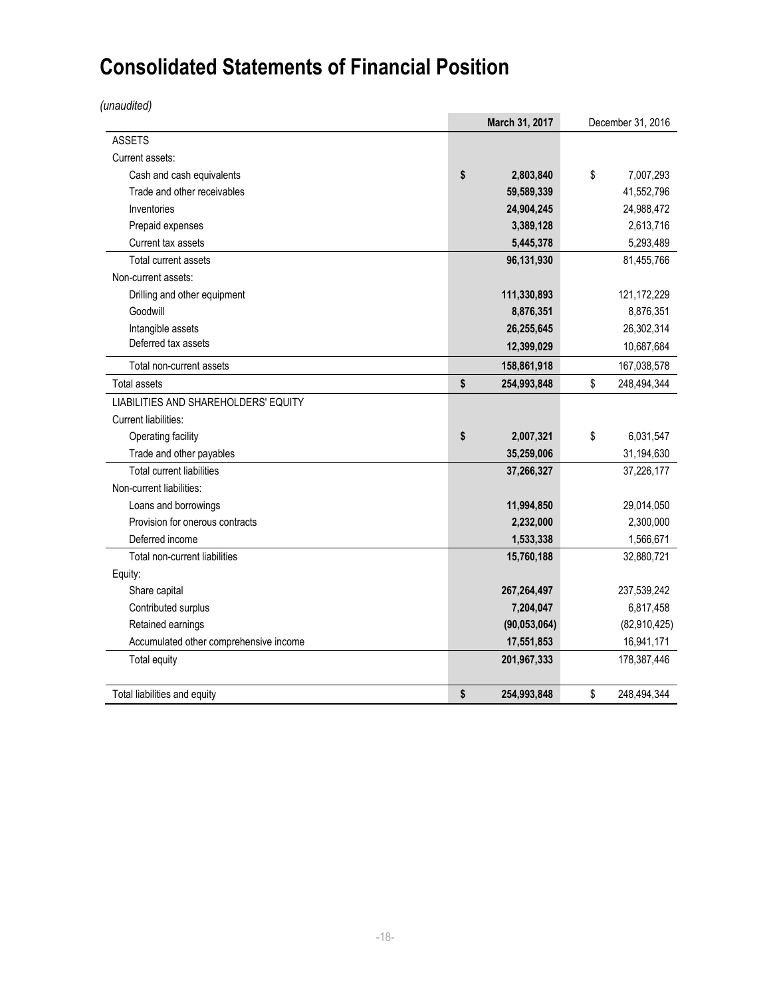# **Consolidated Statements of Financial Position**

*(unaudited)*

|                                        | March 31, 2017<br>December 31, 2016 |                |    |               |
|----------------------------------------|-------------------------------------|----------------|----|---------------|
| <b>ASSETS</b>                          |                                     |                |    |               |
| Current assets:                        |                                     |                |    |               |
| Cash and cash equivalents              | \$                                  | 2,803,840      | \$ | 7,007,293     |
| Trade and other receivables            |                                     | 59,589,339     |    | 41,552,796    |
| Inventories                            |                                     | 24,904,245     |    | 24,988,472    |
| Prepaid expenses                       |                                     | 3,389,128      |    | 2,613,716     |
| Current tax assets                     |                                     | 5,445,378      |    | 5,293,489     |
| Total current assets                   |                                     | 96,131,930     |    | 81,455,766    |
| Non-current assets:                    |                                     |                |    |               |
| Drilling and other equipment           |                                     | 111,330,893    |    | 121, 172, 229 |
| Goodwill                               |                                     | 8,876,351      |    | 8,876,351     |
| Intangible assets                      |                                     | 26,255,645     |    | 26,302,314    |
| Deferred tax assets                    |                                     | 12,399,029     |    | 10,687,684    |
| Total non-current assets               |                                     | 158,861,918    |    | 167,038,578   |
| Total assets                           | \$                                  | 254,993,848    | \$ | 248,494,344   |
| LIABILITIES AND SHAREHOLDERS' EQUITY   |                                     |                |    |               |
| <b>Current liabilities:</b>            |                                     |                |    |               |
| Operating facility                     | \$                                  | 2,007,321      | \$ | 6,031,547     |
| Trade and other payables               |                                     | 35,259,006     |    | 31,194,630    |
| <b>Total current liabilities</b>       |                                     | 37,266,327     |    | 37,226,177    |
| Non-current liabilities:               |                                     |                |    |               |
| Loans and borrowings                   |                                     | 11,994,850     |    | 29,014,050    |
| Provision for onerous contracts        |                                     | 2,232,000      |    | 2,300,000     |
| Deferred income                        |                                     | 1,533,338      |    | 1,566,671     |
| Total non-current liabilities          |                                     | 15,760,188     |    | 32,880,721    |
| Equity:                                |                                     |                |    |               |
| Share capital                          |                                     | 267,264,497    |    | 237,539,242   |
| Contributed surplus                    |                                     | 7,204,047      |    | 6,817,458     |
| Retained earnings                      |                                     | (90, 053, 064) |    | (82,910,425)  |
| Accumulated other comprehensive income |                                     | 17,551,853     |    | 16,941,171    |
| Total equity                           |                                     | 201,967,333    |    | 178,387,446   |
| Total liabilities and equity           | \$                                  | 254,993,848    | \$ | 248,494,344   |
|                                        |                                     |                |    |               |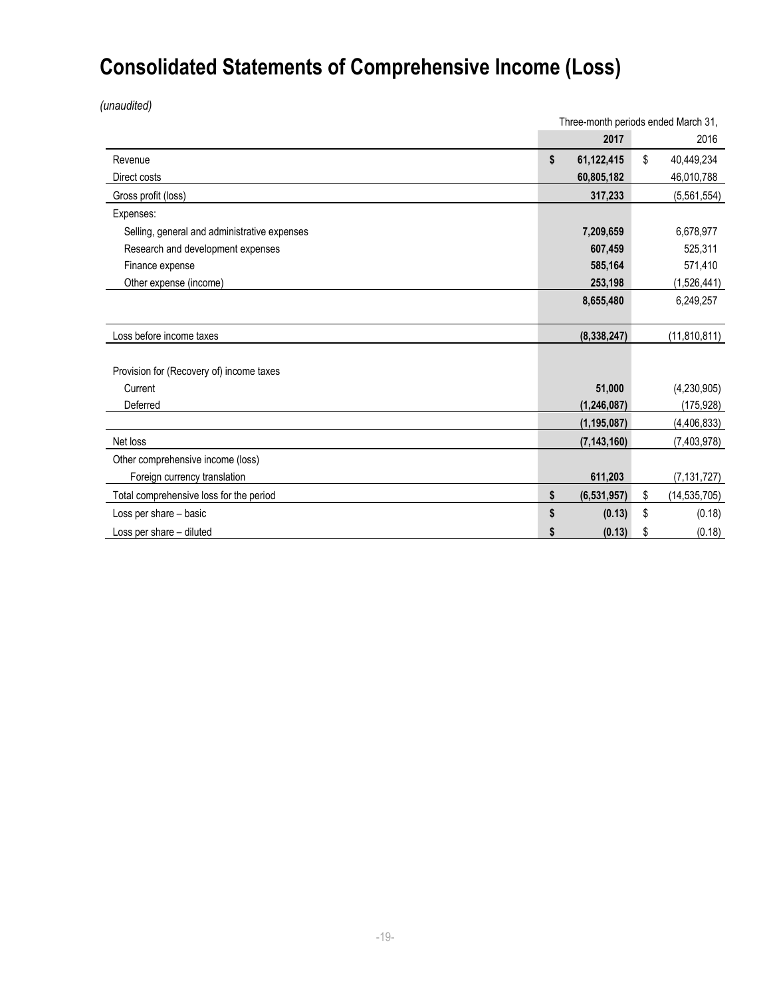# **Consolidated Statements of Comprehensive Income (Loss)**

*(unaudited)*

|                                              | Three-month periods ended March 31, |               |    |                |
|----------------------------------------------|-------------------------------------|---------------|----|----------------|
|                                              |                                     | 2017          |    | 2016           |
| Revenue                                      | \$                                  | 61,122,415    | \$ | 40,449,234     |
| Direct costs                                 |                                     | 60,805,182    |    | 46,010,788     |
| Gross profit (loss)                          |                                     | 317,233       |    | (5,561,554)    |
| Expenses:                                    |                                     |               |    |                |
| Selling, general and administrative expenses |                                     | 7,209,659     |    | 6,678,977      |
| Research and development expenses            |                                     | 607,459       |    | 525,311        |
| Finance expense                              |                                     | 585,164       |    | 571,410        |
| Other expense (income)                       |                                     | 253,198       |    | (1,526,441)    |
|                                              |                                     | 8,655,480     |    | 6,249,257      |
|                                              |                                     |               |    |                |
| Loss before income taxes                     |                                     | (8, 338, 247) |    | (11, 810, 811) |
|                                              |                                     |               |    |                |
| Provision for (Recovery of) income taxes     |                                     |               |    |                |
| Current                                      |                                     | 51,000        |    | (4,230,905)    |
| Deferred                                     |                                     | (1, 246, 087) |    | (175, 928)     |
|                                              |                                     | (1, 195, 087) |    | (4,406,833)    |
| Net loss                                     |                                     | (7, 143, 160) |    | (7,403,978)    |
| Other comprehensive income (loss)            |                                     |               |    |                |
| Foreign currency translation                 |                                     | 611,203       |    | (7, 131, 727)  |
| Total comprehensive loss for the period      | \$                                  | (6, 531, 957) | \$ | (14, 535, 705) |
| Loss per share - basic                       | S                                   | (0.13)        | \$ | (0.18)         |
| Loss per share - diluted                     |                                     | (0.13)        | \$ | (0.18)         |